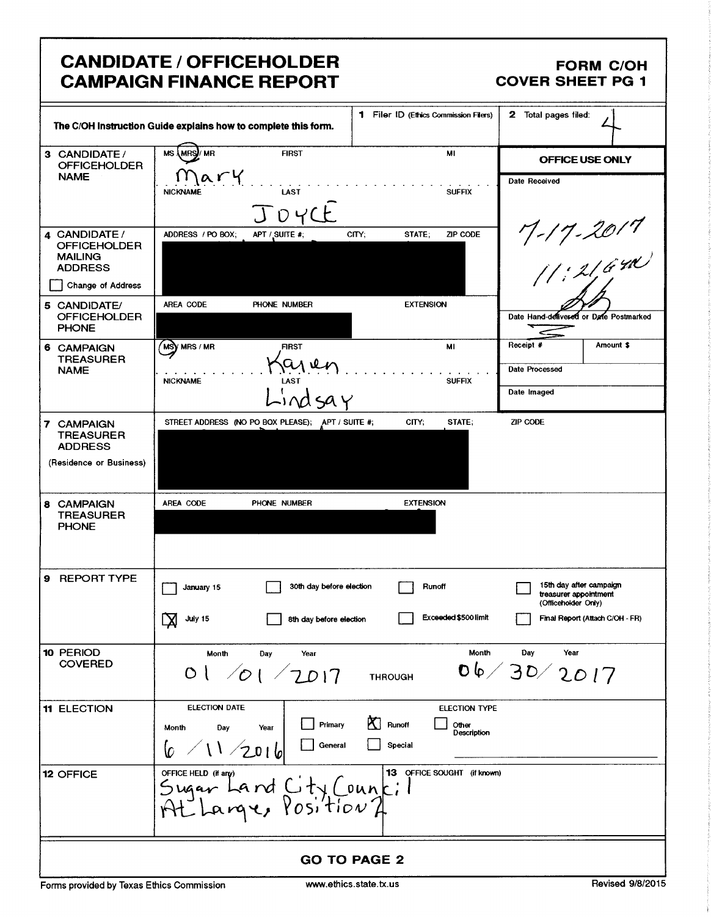## CANDIDATE / OFFICEHOLDER FORM C/OH CAMPAIGN FINANCE REPORT COVER SHEET PG 1

|                                                                          | The C/OH Instruction Guide explains how to complete this form. | 1 Filer ID (Ethics Commission Filers)     | 2 Total pages filed:                                                    |  |
|--------------------------------------------------------------------------|----------------------------------------------------------------|-------------------------------------------|-------------------------------------------------------------------------|--|
| 3 CANDIDATE /<br><b>OFFICEHOLDER</b>                                     | <b>MS \MRS)/ MR</b><br><b>FIRST</b>                            | МI                                        | OFFICE USE ONLY                                                         |  |
| <b>NAME</b>                                                              | Mary<br>LAST<br><b>NICKNAME</b>                                | <b>SUFFIX</b>                             | Date Received                                                           |  |
|                                                                          | JOYCE                                                          |                                           |                                                                         |  |
| 4 CANDIDATE /<br><b>OFFICEHOLDER</b><br><b>MAILING</b><br><b>ADDRESS</b> | ADDRESS / PO BOX;<br>APT / SUITE #;                            | ZIP CODE<br>CITY;<br>STATE;               | $7 - 17 - 2017$<br>$(1:21,640)$                                         |  |
| <b>Change of Address</b><br>5 CANDIDATE/                                 | AREA CODE<br>PHONE NUMBER                                      | <b>EXTENSION</b>                          |                                                                         |  |
| <b>OFFICEHOLDER</b><br><b>PHONE</b>                                      |                                                                |                                           | Date Hand-delivered or Date Postmarked                                  |  |
| 6 CAMPAIGN<br><b>TREASURER</b>                                           | <b>MSY MRS / MR</b><br><b>FIRST</b>                            | MI                                        | Receipt #<br>Amount \$                                                  |  |
| <b>NAME</b>                                                              | aren<br>LAST<br><b>NICKNAME</b>                                | <b>SUFFIX</b>                             | Date Processed                                                          |  |
|                                                                          |                                                                |                                           | Date Imaged                                                             |  |
| 7 CAMPAIGN<br>TREASURER<br><b>ADDRESS</b>                                | STREET ADDRESS (NO PO BOX PLEASE); APT / SUITE #;              | CITY;<br>STATE;                           | ZIP CODE                                                                |  |
| (Residence or Business)                                                  |                                                                |                                           |                                                                         |  |
| 8 CAMPAIGN<br><b>TREASURER</b>                                           | AREA CODE<br>PHONE NUMBER                                      | <b>EXTENSION</b>                          |                                                                         |  |
| <b>PHONE</b>                                                             |                                                                |                                           |                                                                         |  |
| <b>REPORT TYPE</b><br>9.                                                 | 30th day before election<br>January 15                         | Runoff                                    | 15th day after campaign<br>treasurer appointment<br>(Officeholder Only) |  |
|                                                                          | <br>July 15<br>8th day before election                         | Exceeded \$500 limit                      | Final Report (Attach C/OH - FR)                                         |  |
| 10 PERIOD<br><b>COVERED</b>                                              | Month<br><b>Day</b><br>Year                                    | Month                                     | Year<br>Day                                                             |  |
|                                                                          | 01/01/2017                                                     | <b>THROUGH</b>                            | 06/30/2017                                                              |  |
| 11 ELECTION                                                              | <b>ELECTION DATE</b>                                           | <b>ELECTION TYPE</b><br>K.                |                                                                         |  |
|                                                                          | Primary<br>Year<br>Month<br>Day<br>General<br>11/2016          | Runoff<br>Other<br>Description<br>Special |                                                                         |  |
| 12 OFFICE                                                                | OFFICE HELD (if any)<br>Sugar Land City Council                | 13 OFFICE SOUGHT (if known)               |                                                                         |  |
| <b>GO TO PAGE 2</b>                                                      |                                                                |                                           |                                                                         |  |

Forms provided by Texas Ethics Commission www.ethics.state.tx.us Revised 9/8/2015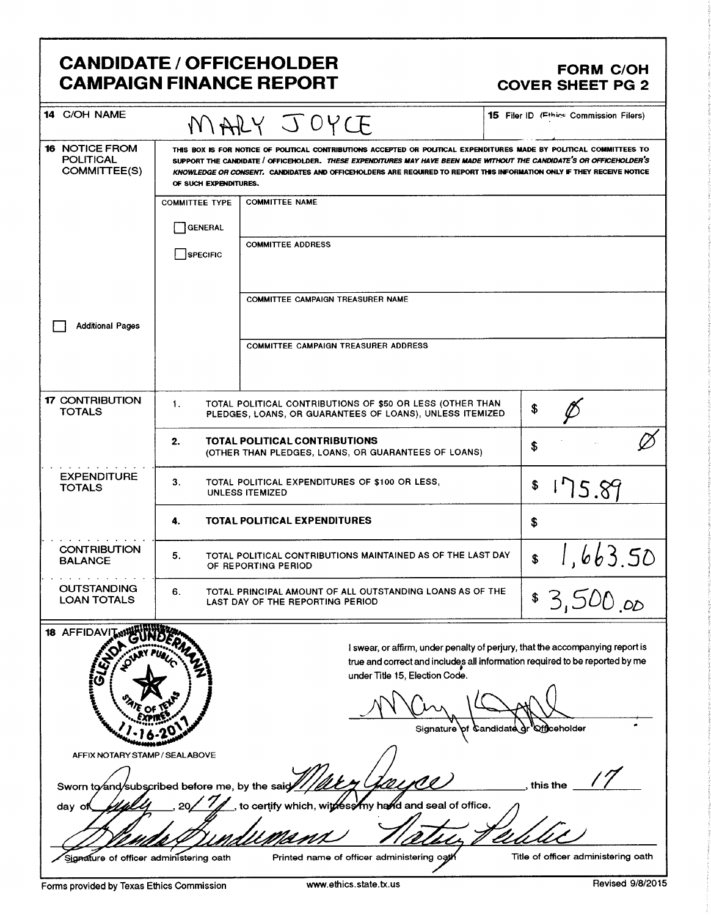## CANDIDATE / OFFICEHOLDER<br>CAMPAIGN FINANCE REPORT COVER SHEET PG 2 **CAMPAIGN FINANCE REPORT**

| 14 C/OH NAME                                                                                                          |                                                                                                                             | MARY JOYCE                                                                                                                                                                                                                                                                                                                                                              | <b>15 Filer ID (Fthics Commission Filers)</b> |  |
|-----------------------------------------------------------------------------------------------------------------------|-----------------------------------------------------------------------------------------------------------------------------|-------------------------------------------------------------------------------------------------------------------------------------------------------------------------------------------------------------------------------------------------------------------------------------------------------------------------------------------------------------------------|-----------------------------------------------|--|
| <b>16 NOTICE FROM</b><br><b>POLITICAL</b><br>COMMITTEE(S)                                                             | OF SUCH EXPENDITURES.                                                                                                       | THIS BOX IS FOR NOTICE OF POLITICAL CONTRIBUTIONS ACCEPTED OR POLITICAL EXPENDITURES MADE BY POLITICAL COMMITTEES TO<br>SUPPORT THE CANDIDATE / OFFICEHOLDER. THESE EXPENDITURES MAY HAVE BEEN MADE WITHOUT THE CANDIDATE'S OR OFFICEHOLDER'S<br>KNOWLEDGE OR CONSENT. CANDIDATES AND OFFICEHOLDERS ARE REQUIRED TO REPORT THIS INFORMATION ONLY IF THEY RECEIVE NOTICE |                                               |  |
|                                                                                                                       | <b>COMMITTEE TYPE</b><br>GENERAL<br><b>SPECIFIC</b>                                                                         | <b>COMMITTEE NAME</b><br><b>COMMITTEE ADDRESS</b>                                                                                                                                                                                                                                                                                                                       |                                               |  |
| <b>Additional Pages</b>                                                                                               |                                                                                                                             | COMMITTEE CAMPAIGN TREASURER NAME                                                                                                                                                                                                                                                                                                                                       |                                               |  |
|                                                                                                                       |                                                                                                                             | COMMITTEE CAMPAIGN TREASURER ADDRESS                                                                                                                                                                                                                                                                                                                                    |                                               |  |
| <b>17 CONTRIBUTION</b><br><b>TOTALS</b>                                                                               | TOTAL POLITICAL CONTRIBUTIONS OF \$50 OR LESS (OTHER THAN<br>1.<br>PLEDGES, LOANS, OR GUARANTEES OF LOANS), UNLESS ITEMIZED |                                                                                                                                                                                                                                                                                                                                                                         |                                               |  |
|                                                                                                                       | TOTAL POLITICAL CONTRIBUTIONS<br>2.<br>(OTHER THAN PLEDGES, LOANS, OR GUARANTEES OF LOANS)                                  | \$                                                                                                                                                                                                                                                                                                                                                                      |                                               |  |
| <b>EXPENDITURE</b><br>3.<br>TOTAL POLITICAL EXPENDITURES OF \$100 OR LESS,<br><b>TOTALS</b><br><b>UNLESS ITEMIZED</b> |                                                                                                                             |                                                                                                                                                                                                                                                                                                                                                                         | 175.89<br>\$                                  |  |
|                                                                                                                       | <b>TOTAL POLITICAL EXPENDITURES</b><br>4.                                                                                   |                                                                                                                                                                                                                                                                                                                                                                         |                                               |  |
| <b>CONTRIBUTION</b><br><b>BALANCE</b>                                                                                 | TOTAL POLITICAL CONTRIBUTIONS MAINTAINED AS OF THE LAST DAY<br>5.<br>OF REPORTING PERIOD                                    | 1,663.50<br>\$                                                                                                                                                                                                                                                                                                                                                          |                                               |  |
| OUTSTANDING<br><b>LOAN TOTALS</b>                                                                                     | 6.<br>TOTAL PRINCIPAL AMOUNT OF ALL OUTSTANDING LOANS AS OF THE<br>LAST DAY OF THE REPORTING PERIOD                         | \$3,500,00                                                                                                                                                                                                                                                                                                                                                              |                                               |  |
| 18 AFFIDAVIT W<br>$\mathfrak{o}^{\mathsf{v}}$                                                                         |                                                                                                                             | I swear, or affirm, under penalty of perjury, that the accompanying report is<br>true and correct and includes all information required to be reported by me<br>under Title 15, Election Code.<br>Signature of Candidate or                                                                                                                                             | <b>Qfficeholder</b>                           |  |
| AFFIX NOTARY STAMP / SEALABOVE<br>Sworn to and/subscribed before me, by the said//<br>day of                          |                                                                                                                             | certify which, withess my hand and seal of office.                                                                                                                                                                                                                                                                                                                      | this the                                      |  |
| Signature of officer administering oath                                                                               |                                                                                                                             | Printed name of officer administering oath                                                                                                                                                                                                                                                                                                                              | Title of officer administering oath           |  |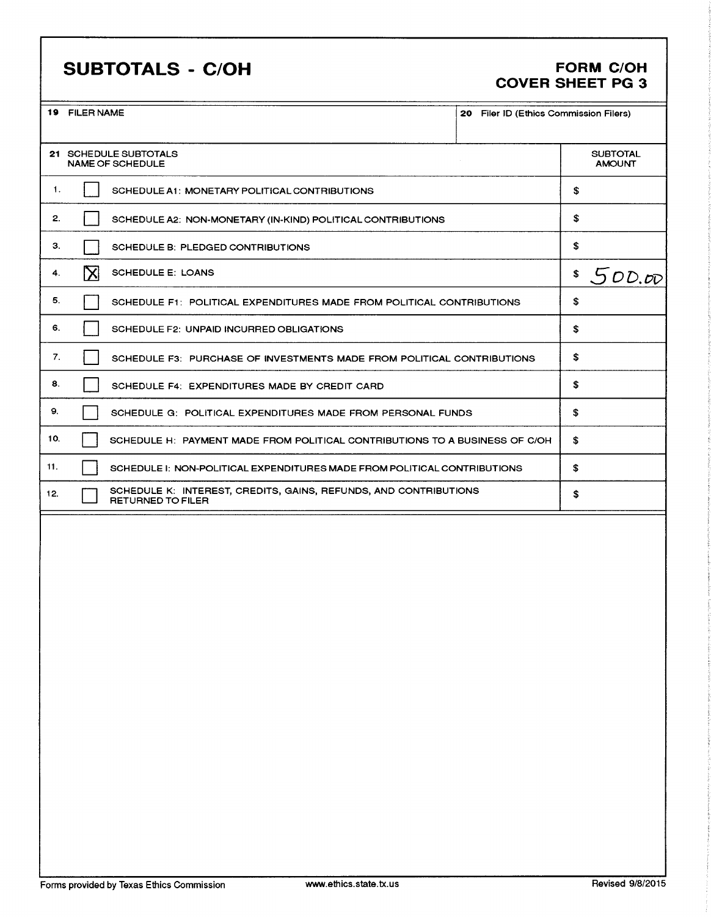## SUBTOTALS - C/OH FORM C/OH

# COVER SHEET PG 3

| 19 FILER NAME                 |                                                                                       | 20 Filer ID (Ethics Commission Filers) |                                  |
|-------------------------------|---------------------------------------------------------------------------------------|----------------------------------------|----------------------------------|
|                               | 21 SCHEDULE SUBTOTALS<br><b>NAME OF SCHEDULE</b>                                      |                                        | <b>SUBTOTAL</b><br><b>AMOUNT</b> |
| $\mathbf{1}$ .                | SCHEDULE A1: MONETARY POLITICAL CONTRIBUTIONS                                         |                                        | \$                               |
| 2.                            | SCHEDULE A2: NON-MONETARY (IN-KIND) POLITICAL CONTRIBUTIONS                           |                                        | \$                               |
| 3.                            | SCHEDULE B: PLEDGED CONTRIBUTIONS                                                     |                                        | \$                               |
| $\boxtimes$<br>4 <sup>1</sup> | <b>SCHEDULE E: LOANS</b>                                                              |                                        | \$<br>500.00                     |
| 5.                            | SCHEDULE F1: POLITICAL EXPENDITURES MADE FROM POLITICAL CONTRIBUTIONS                 |                                        | \$                               |
| 6.                            | SCHEDULE F2: UNPAID INCURRED OBLIGATIONS                                              |                                        | \$                               |
| 7.                            | SCHEDULE F3: PURCHASE OF INVESTMENTS MADE FROM POLITICAL CONTRIBUTIONS                |                                        | \$                               |
| 8.                            | SCHEDULE F4: EXPENDITURES MADE BY CREDIT CARD                                         |                                        | \$                               |
| 9.                            | SCHEDULE G: POLITICAL EXPENDITURES MADE FROM PERSONAL FUNDS                           | \$                                     |                                  |
| 10.                           | SCHEDULE H: PAYMENT MADE FROM POLITICAL CONTRIBUTIONS TO A BUSINESS OF C/OH           |                                        | \$                               |
| 11.                           | SCHEDULE I: NON-POLITICAL EXPENDITURES MADE FROM POLITICAL CONTRIBUTIONS              |                                        | \$                               |
| 12.                           | SCHEDULE K: INTEREST, CREDITS, GAINS, REFUNDS, AND CONTRIBUTIONS<br>RETURNED TO FILER |                                        | \$                               |
|                               |                                                                                       |                                        |                                  |